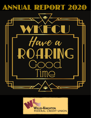



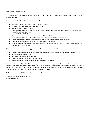Report of the Chairman and CEO

The Board of Directors and Senior Management are pleased to report a year of strong financial performance even in a year of great uncertainty.

Here are some highlights of what we accomplished in 2020:

- Welcomed 418 new members reaching 7,719 total members
- Produced 1,362 new loans for a total of \$10,038,050
- Added 287 new checking accounts
- Ended 2020 with a net worth ratio of 14.57% (more than double the regulator's requirement to be well-capitalized)
- Controlled delinquency at 0.24%
- Ended 2020 with a 0.78% Return on Assets
- Continue to offer competitive loan interest rates and deposit dividend rates
- Increased Internet Teller and Mobile App usage to 3,778 members 49% of the membership
- Continued to promote Shazam Brella as a way to help mitigate debit card fraud for our members
- Implemented Remote Deposit Capture as a convenience to our members
- Our Credit Union employees were involved in making our community a better place to live by volunteering time and donating money to various causes

We are excited to continue the following plans to strengthen your credit union in 2021.

- Continue to provide our members with the best possible products and services through the difficult times of 2021
- Upgrade Internet Teller platform
- Upgrade Bossier Branch drive-thru system
- Consider e-Signature and on-line loans for lending
- Consider a rewards program for both our debit cards and credit cards

On behalf of the Board of Directors, Management, and each of our employees, we would like to extend our most sincere appreciation for your continued trust and loyalty. Willis-Knighton Federal Credit Union remains safe and strong and we continue to serve you in new and exciting ways. We continue our commitment to be the answer for your financial needs and to provide you exceptional service with every interaction. WE ARE HERE FOR YOU!

Today – we celebrate YOU! Thank you for being our member!

Jaf Fielder, Chairman-Board of Directors Courtney Barrett, CEO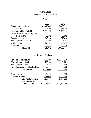#### Balance Sheets December 31, 2020 and 2019

### Assets

|                                     | 2020         | 2019         |
|-------------------------------------|--------------|--------------|
| Cash and cash equivalents           | \$14,418,042 | \$8,450,055  |
| <b>Time Deposits</b>                | 997,000      | 1,943,000    |
| Loans receivable, net of ALL        | 21,563,172   | 21,585,602   |
| Capital share deposits in corporate |              |              |
| credit unions                       | 63,292       | 63,292       |
| Property and equipment,             | 546,224      | 577,430      |
| Accrued interest receivable         | 49,605       | 46,741       |
| <b>NCUSIF deposit</b>               | 272,631      | 257,577      |
| Other assets                        | 108,877      | 138,336      |
| <b>Total Assets</b>                 | \$38,018,842 | \$33,062,033 |

# Liabilities and Members' Equity

| Members' share accounts                               | \$32,222,451 | \$27,620,098 |
|-------------------------------------------------------|--------------|--------------|
| Official checks outstanding                           | 205,846      | 117,091      |
| Accrued interest payable                              | 26,374       | 37,272       |
| Accounts payable and other liabilities                | 26,417       | 25,333       |
| <b>Total Liabilities</b>                              | 32,481,088   | 27,799,794   |
| Regular reserve                                       | 464,674      | 464,674      |
| <b>Undivided Earnings</b>                             | 5,073,080    | 4,797,565    |
| Total members' equity<br><b>Total Liabilities and</b> | 5,537,754    | 5,262,239    |
| Members' Equity                                       |              |              |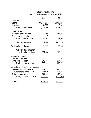## Statements of Income Years Ended December 31, 2020 and 2019

|                                                                                                                                                              | 2020                                       | 2019                                       |
|--------------------------------------------------------------------------------------------------------------------------------------------------------------|--------------------------------------------|--------------------------------------------|
| Interest Income<br>Loans<br>Investments<br>Total interest income                                                                                             | \$1,118,391<br>50,672<br>1,169,063         | \$1,096,221<br>110,041<br>1,206,262        |
| Interest Expense<br>Members' share accounts<br>Other borrowed funds<br>Total interest expense                                                                | 156,415<br><u>156,415</u>                  | 185,053<br>185,053                         |
| Net interest income                                                                                                                                          | 1,012,648                                  | 1,021,209                                  |
| <b>Provision for loan losses</b>                                                                                                                             | 20,000                                     | 95,000                                     |
| Net interest income after<br>provision for loan losses                                                                                                       | 992,648                                    | 926,209                                    |
| Non-interest Income<br>Share account fees<br>Other fees and income<br>Total non-interest income                                                              | 258,597<br>249,404<br>508,001              | 335,563<br>231,152<br>566,715              |
| General and administrative expenses<br><b>Compensation and benefits</b><br>Occupancy and maintenance<br>Office and operations<br>Total general and admin exp | 729,777<br>117,675<br>377,682<br>1,225,134 | 682,442<br>125,238<br>465,859<br>1,273,539 |
| Net Income                                                                                                                                                   | <u>\$275,515</u>                           | <u>\$219,385</u>                           |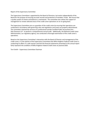#### Report of the Supervisory Committee

The Supervisory Committee is appointed by the Board of Directors, but works independently of the Board for the purpose of ensuring accurate records and protection of members' funds. We ensure that a quality system of checks and balances is maintained. The committee also utilizes the support of management to review selected areas of the credit union operations on an on-going basis.

The Supervisory Committee acts as a guardian of the credit union by ensuring that operations are conducted in accordance with governing rules and regulations and assets are properly administered. The committee retained the services of a professional outside Certified Public Accountant firm - Silas Simmons LLP - to perform a comprehensive annual audit. Additionally, the National Credit Union Administration, our regulatory agency, has conducted a thorough examination of the credit union's operations.

Based on the Supervisory Committee's interaction with the Board of Director and management of the credit union, it is the opinion of the Supervisory Committee that Willis-Knighton Federal Credit Union is conducting its affairs in a safe manner and that the financial statements presented in this annual report fairly represent the condition of Willis-Knighton Federal Credit Union at yearend 2020.

Terri Smith – Supervisory Committee Chairman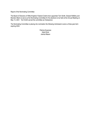#### Report of the Nominating Committee

The Board of Directors of Willis-Knighton Federal Credit Union appointed Terri Smith, Edward Rafferty and Brandon Marrs to serve as the Nominating Committee for the elections to be held at the Annual Meeting on May 13, 2021. Terri Smith served the committee as Chairperson.

The Nominating Committee is placing into nomination the following individuals to serve a three-year term expiring 2024:

> Patricia Koopman Kelly Elrod Joshua Mason